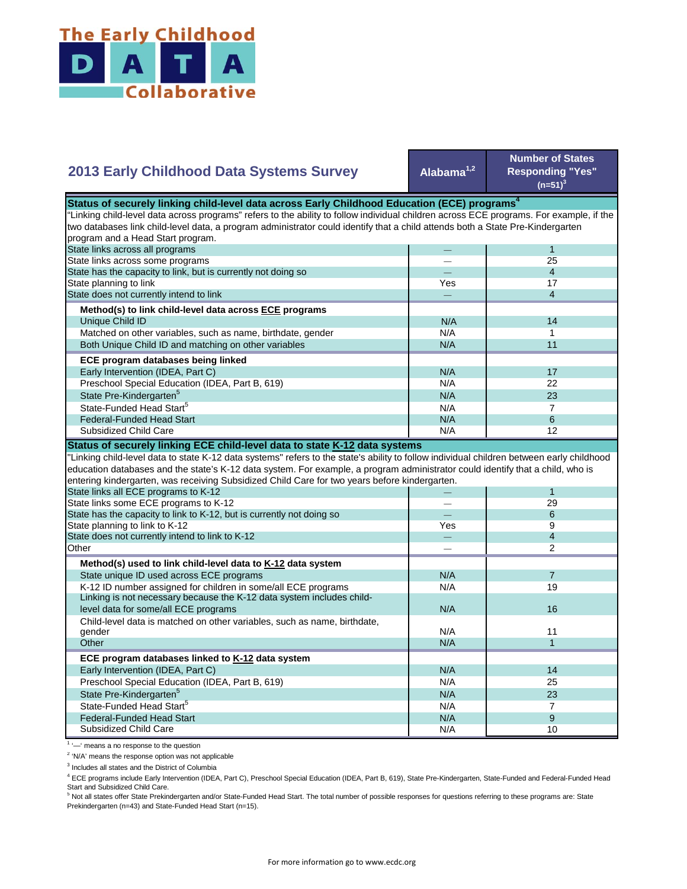

## **Alabama1,2 Number of States Responding "Yes"**   $(n=51)^{3}$ — 1  $-$  25 — 4 Yes 17 — 4  $N/A$  14  $N/A$  1 N/A 11  $N/A$  17 N/A 22  $N/A$  23  $N/A$  7 State Pre-Kindergarten<sup>5</sup> State-Funded Head Start<sup>5</sup> Matched on other variables, such as name, birthdate, gender Both Unique Child ID and matching on other variables  **ECE program databases being linked**  Early Intervention (IDEA, Part C) Preschool Special Education (IDEA, Part B, 619) State has the capacity to link, but is currently not doing so State planning to link State does not currently intend to link  **Method(s) to link child-level data across ECE programs** Unique Child ID **2013 Early Childhood Data Systems Survey Status of securely linking child-level data across Early Childhood Education (ECE) programs** "Linking child-level data across programs" refers to the ability to follow individual children across ECE programs. For example, if the two databases link child-level data, a program administrator could identify that a child attends both a State Pre-Kindergarten program and a Head Start program. State links across all programs State links across some programs  $N/A$  6  $N/A$  12 — 1 — 29 — 6  $\begin{array}{ccc} \mathsf{Yes} & \mathsf{9} \\ - & \mathsf{1} \end{array}$ — 4 — 2  $N/A$  7 N/A 19 N/A 11  $N/A$  1 N/A 14 N/A 25 N/A 23  $N/A$  7  $N/A$  9 N/A 10 N/A Preschool Special Education (IDEA, Part B, 619) State Pre-Kindergarten<sup>5</sup> State-Funded Head Start<sup>5</sup> Federal-Funded Head Start Subsidized Child Care Child-level data is matched on other variables, such as name, birthdate, gender **Other ECE program databases linked to K-12 data system** Early Intervention (IDEA, Part C) **Other Method(s) used to link child-level data to K-12 data system** State unique ID used across ECE programs K-12 ID number assigned for children in some/all ECE programs Linking is not necessary because the K-12 data system includes child level data for some/all ECE programs 16 and 16 and 16 and 16 and 16 and 16 and 16 and 16 and 16 and 16 and 16  $\mu$ "Linking child-level data to state K-12 data systems" refers to the state's ability to follow individual children between early childhood education databases and the state's K-12 data system. For example, a program administrator could identify that a child, who is entering kindergarten, was receiving Subsidized Child Care for two years before kindergarten. State links all ECE programs to K-12 State links some ECE programs to K-12 State has the capacity to link to K-12, but is currently not doing so State planning to link to K-12 State does not currently intend to link to K-12 Federal-Funded Head Start Subsidized Child Care **Status of securely linking ECE child-level data to state K-12 data systems**

<sup>1</sup> '-' means a no response to the question

<sup>2</sup> 'N/A' means the response option was not applicable

<sup>3</sup> Includes all states and the District of Columbia

<sup>4</sup> ECE programs include Early Intervention (IDEA, Part C), Preschool Special Education (IDEA, Part B, 619), State Pre-Kindergarten, State-Funded and Federal-Funded Head Start and Subsidized Child Care.

<sup>5</sup> Not all states offer State Prekindergarten and/or State-Funded Head Start. The total number of possible responses for questions referring to these programs are: State Prekindergarten (n=43) and State-Funded Head Start (n=15).